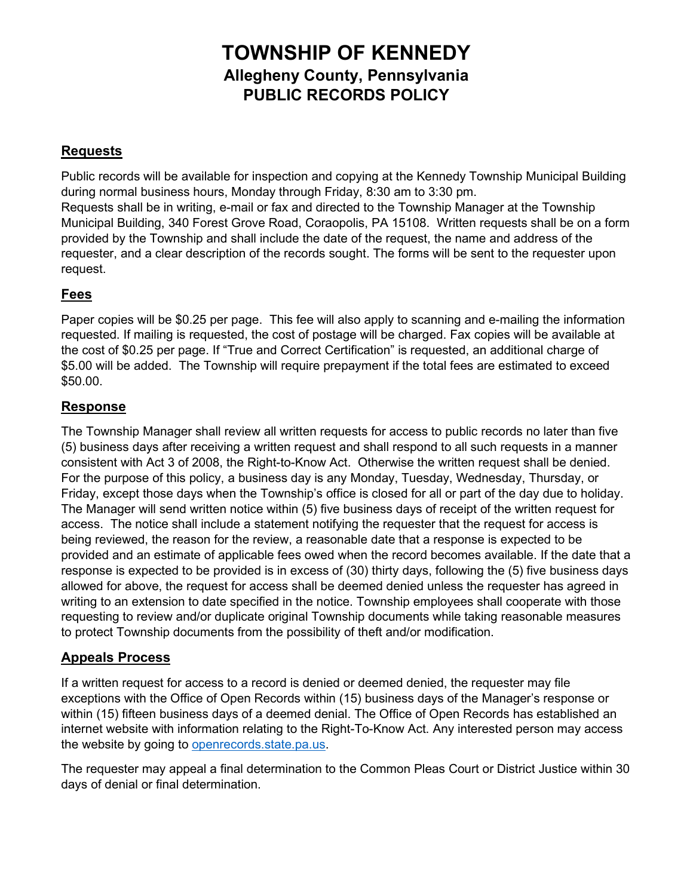# **TOWNSHIP OF KENNEDY Allegheny County, Pennsylvania PUBLIC RECORDS POLICY**

## **Requests**

Public records will be available for inspection and copying at the Kennedy Township Municipal Building during normal business hours, Monday through Friday, 8:30 am to 3:30 pm. Requests shall be in writing, e-mail or fax and directed to the Township Manager at the Township Municipal Building, 340 Forest Grove Road, Coraopolis, PA 15108. Written requests shall be on a form provided by the Township and shall include the date of the request, the name and address of the requester, and a clear description of the records sought. The forms will be sent to the requester upon request.

#### **Fees**

Paper copies will be \$0.25 per page. This fee will also apply to scanning and e-mailing the information requested. If mailing is requested, the cost of postage will be charged. Fax copies will be available at the cost of \$0.25 per page. If "True and Correct Certification" is requested, an additional charge of \$5.00 will be added. The Township will require prepayment if the total fees are estimated to exceed \$50.00.

#### **Response**

The Township Manager shall review all written requests for access to public records no later than five (5) business days after receiving a written request and shall respond to all such requests in a manner consistent with Act 3 of 2008, the Right-to-Know Act. Otherwise the written request shall be denied. For the purpose of this policy, a business day is any Monday, Tuesday, Wednesday, Thursday, or Friday, except those days when the Township's office is closed for all or part of the day due to holiday. The Manager will send written notice within (5) five business days of receipt of the written request for access. The notice shall include a statement notifying the requester that the request for access is being reviewed, the reason for the review, a reasonable date that a response is expected to be provided and an estimate of applicable fees owed when the record becomes available. If the date that a response is expected to be provided is in excess of (30) thirty days, following the (5) five business days allowed for above, the request for access shall be deemed denied unless the requester has agreed in writing to an extension to date specified in the notice. Township employees shall cooperate with those requesting to review and/or duplicate original Township documents while taking reasonable measures to protect Township documents from the possibility of theft and/or modification.

## **Appeals Process**

If a written request for access to a record is denied or deemed denied, the requester may file exceptions with the Office of Open Records within (15) business days of the Manager's response or within (15) fifteen business days of a deemed denial. The Office of Open Records has established an internet website with information relating to the Right-To-Know Act. Any interested person may access the website by going to [openrecords.state.pa.us.](http://www.openrecords.state.pa.us/)

The requester may appeal a final determination to the Common Pleas Court or District Justice within 30 days of denial or final determination.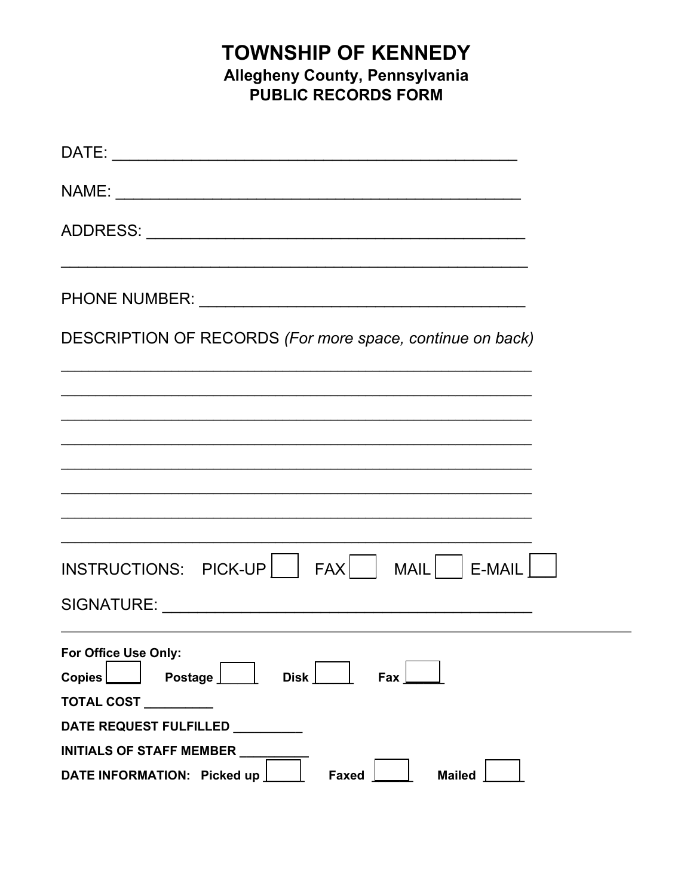# **TOWNSHIP OF KENNEDY** Allegheny County, Pennsylvania<br>PUBLIC RECORDS FORM

| DESCRIPTION OF RECORDS (For more space, continue on back)            |
|----------------------------------------------------------------------|
|                                                                      |
|                                                                      |
|                                                                      |
|                                                                      |
|                                                                      |
|                                                                      |
| For Office Use Only:<br>$C$ opies<br>Postage <b>L</b><br>Disk<br>Fax |
| TOTAL COST ________                                                  |
| DATE REQUEST FULFILLED _________<br>INITIALS OF STAFF MEMBER         |
| DATE INFORMATION: Picked up<br><b>Mailed</b><br>Faxed                |